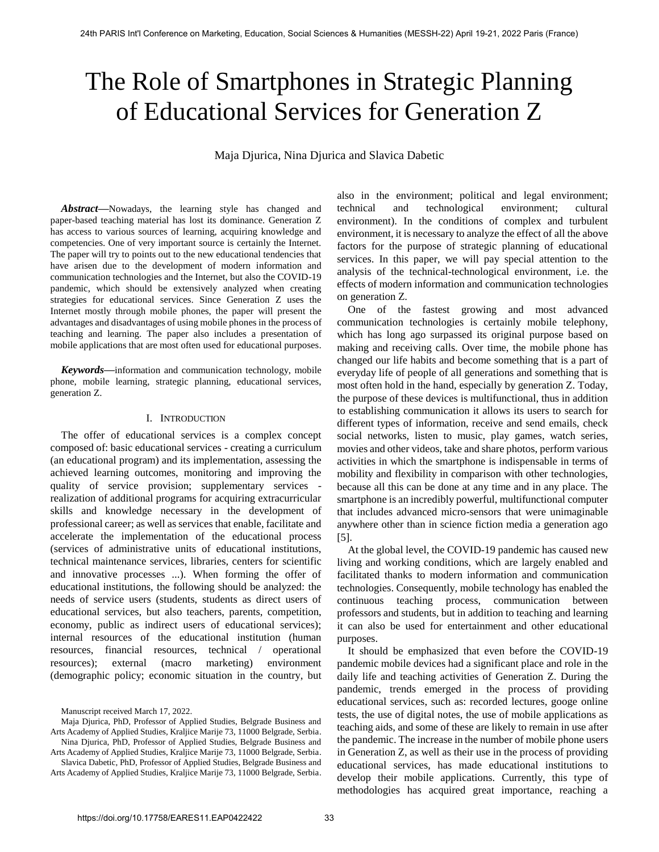# The Role of Smartphones in Strategic Planning of Educational Services for Generation Z

Maja Djurica, Nina Djurica and Slavica Dabetic

*Abstract***—**Nowadays, the learning style has changed and paper-based teaching material has lost its dominance. Generation Z has access to various sources of learning, acquiring knowledge and competencies. One of very important source is certainly the Internet. The paper will try to points out to the new educational tendencies that have arisen due to the development of modern information and communication technologies and the Internet, but also the COVID-19 pandemic, which should be extensively analyzed when creating strategies for educational services. Since Generation Z uses the Internet mostly through mobile phones, the paper will present the advantages and disadvantages of using mobile phones in the process of teaching and learning. The paper also includes a presentation of mobile applications that are most often used for educational purposes.

*Keywords***—**information and communication technology, mobile phone, mobile learning, strategic planning, educational services, generation Z.

## I. INTRODUCTION

The offer of educational services is a complex concept composed of: basic educational services - creating a curriculum (an educational program) and its implementation, assessing the achieved learning outcomes, monitoring and improving the quality of service provision; supplementary services realization of additional programs for acquiring extracurricular skills and knowledge necessary in the development of professional career; as well as services that enable, facilitate and accelerate the implementation of the educational process (services of administrative units of educational institutions, technical maintenance services, libraries, centers for scientific and innovative processes ...). When forming the offer of educational institutions, the following should be analyzed: the needs of service users (students, students as direct users of educational services, but also teachers, parents, competition, economy, public as indirect users of educational services); internal resources of the educational institution (human resources, financial resources, technical / operational resources); external (macro marketing) environment (demographic policy; economic situation in the country, but

Manuscript received March 17, 2022.

Maja Djurica, PhD, Professor of Applied Studies, Belgrade Business and Arts Academy of Applied Studies, Kraljice Marije 73, 11000 Belgrade, Serbia. Nina Djurica, PhD, Professor of Applied Studies, Belgrade Business and Arts Academy of Applied Studies, Kraljice Marije 73, 11000 Belgrade, Serbia. Slavica Dabetic, PhD, Professor of Applied Studies, Belgrade Business and Arts Academy of Applied Studies, Kraljice Marije 73, 11000 Belgrade, Serbia.

also in the environment; political and legal environment; technical and technological environment; cultural environment). In the conditions of complex and turbulent environment, it is necessary to analyze the effect of all the above factors for the purpose of strategic planning of educational services. In this paper, we will pay special attention to the analysis of the technical-technological environment, i.e. the effects of modern information and communication technologies on generation Z.

One of the fastest growing and most advanced communication technologies is certainly mobile telephony, which has long ago surpassed its original purpose based on making and receiving calls. Over time, the mobile phone has changed our life habits and become something that is a part of everyday life of people of all generations and something that is most often hold in the hand, especially by generation Z. Today, the purpose of these devices is multifunctional, thus in addition to establishing communication it allows its users to search for different types of information, receive and send emails, check social networks, listen to music, play games, watch series, movies and other videos, take and share photos, perform various activities in which the smartphone is indispensable in terms of mobility and flexibility in comparison with other technologies, because all this can be done at any time and in any place. The smartphone is an incredibly powerful, multifunctional computer that includes advanced micro-sensors that were unimaginable anywhere other than in science fiction media a generation ago [5].

At the global level, the COVID-19 pandemic has caused new living and working conditions, which are largely enabled and facilitated thanks to modern information and communication technologies. Consequently, mobile technology has enabled the continuous teaching process, communication between professors and students, but in addition to teaching and learning it can also be used for entertainment and other educational purposes.

It should be emphasized that even before the COVID-19 pandemic mobile devices had a significant place and role in the daily life and teaching activities of Generation Z. During the pandemic, trends emerged in the process of providing educational services, such as: recorded lectures, googe online tests, the use of digital notes, the use of mobile applications as teaching aids, and some of these are likely to remain in use after the pandemic. The increase in the number of mobile phone users in Generation Z, as well as their use in the process of providing educational services, has made educational institutions to develop their mobile applications. Currently, this type of methodologies has acquired great importance, reaching a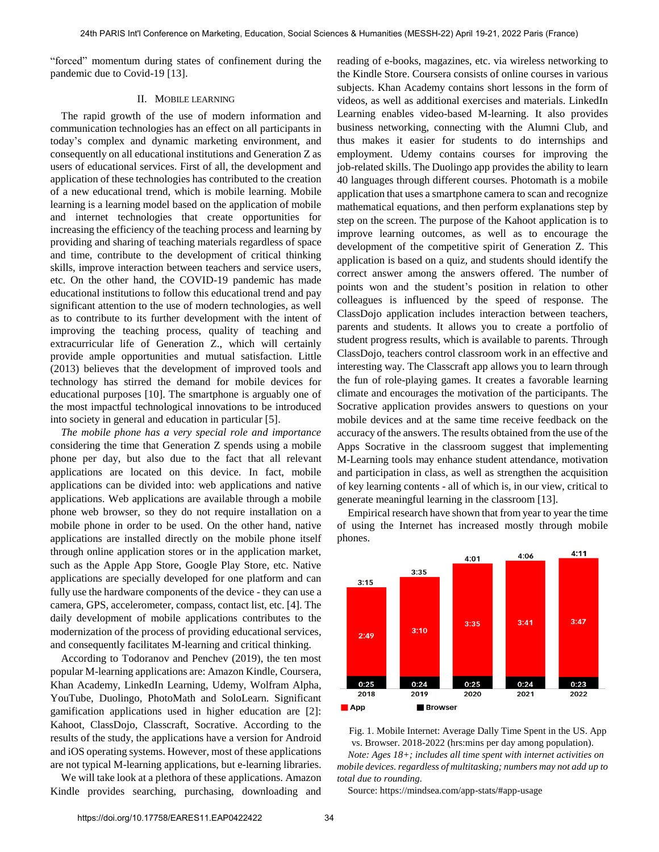"forced" momentum during states of confinement during the pandemic due to Covid-19 [13].

# II. MOBILE LEARNING

The rapid growth of the use of modern information and communication technologies has an effect on all participants in today's complex and dynamic marketing environment, and consequently on all educational institutions and Generation Z as users of educational services. First of all, the development and application of these technologies has contributed to the creation of a new educational trend, which is mobile learning. Mobile learning is a learning model based on the application of mobile and internet technologies that create opportunities for increasing the efficiency of the teaching process and learning by providing and sharing of teaching materials regardless of space and time, contribute to the development of critical thinking skills, improve interaction between teachers and service users, etc. On the other hand, the COVID-19 pandemic has made educational institutions to follow this educational trend and pay significant attention to the use of modern technologies, as well as to contribute to its further development with the intent of improving the teaching process, quality of teaching and extracurricular life of Generation Z., which will certainly provide ample opportunities and mutual satisfaction. Little (2013) believes that the development of improved tools and technology has stirred the demand for mobile devices for educational purposes [10]. The smartphone is arguably one of the most impactful technological innovations to be introduced into society in general and education in particular [5].

*The mobile phone has a very special role and importance* considering the time that Generation Z spends using a mobile phone per day, but also due to the fact that all relevant applications are located on this device. In fact, mobile applications can be divided into: web applications and native applications. Web applications are available through a mobile phone web browser, so they do not require installation on a mobile phone in order to be used. On the other hand, native applications are installed directly on the mobile phone itself through online application stores or in the application market, such as the Apple App Store, Google Play Store, etc. Native applications are specially developed for one platform and can fully use the hardware components of the device - they can use a camera, GPS, accelerometer, compass, contact list, etc. [4]. The daily development of mobile applications contributes to the modernization of the process of providing educational services, and consequently facilitates M-learning and critical thinking.

According to Todoranov and Penchev (2019), the ten most popular M-learning applications are: Amazon Kindle, Coursera, Khan Academy, LinkedIn Learning, Udemy, Wolfram Alpha, YouTube, Duolingo, PhotoMath and SoloLearn. Significant gamification applications used in higher education are [2]: Kahoot, ClassDojo, Classcraft, Socrative. According to the results of the study, the applications have a version for Android and iOS operating systems. However, most of these applications are not typical M-learning applications, but e-learning libraries.

We will take look at a plethora of these applications. Amazon Kindle provides searching, purchasing, downloading and

reading of e-books, magazines, etc. via wireless networking to the Kindle Store. Coursera consists of online courses in various subjects. Khan Academy contains short lessons in the form of videos, as well as additional exercises and materials. LinkedIn Learning enables video-based M-learning. It also provides business networking, connecting with the Alumni Club, and thus makes it easier for students to do internships and employment. Udemy contains courses for improving the job-related skills. The Duolingo app provides the ability to learn 40 languages through different courses. Photomath is a mobile application that uses a smartphone camera to scan and recognize mathematical equations, and then perform explanations step by step on the screen. The purpose of the Kahoot application is to improve learning outcomes, as well as to encourage the development of the competitive spirit of Generation Z. This application is based on a quiz, and students should identify the correct answer among the answers offered. The number of points won and the student's position in relation to other colleagues is influenced by the speed of response. The ClassDojo application includes interaction between teachers, parents and students. It allows you to create a portfolio of student progress results, which is available to parents. Through ClassDojo, teachers control classroom work in an effective and interesting way. The Classcraft app allows you to learn through the fun of role-playing games. It creates a favorable learning climate and encourages the motivation of the participants. The Socrative application provides answers to questions on your mobile devices and at the same time receive feedback on the accuracy of the answers. The results obtained from the use of the Apps Socrative in the classroom suggest that implementing M-Learning tools may enhance student attendance, motivation and participation in class, as well as strengthen the acquisition of key learning contents - all of which is, in our view, critical to generate meaningful learning in the classroom [13].

Empirical research have shown that from year to year the time of using the Internet has increased mostly through mobile phones.



Fig. 1. Mobile Internet: Average Dally Time Spent in the US. App vs. Browser. 2018-2022 (hrs:mins per day among population). *Note: Ages 18+; includes all time spent with internet activities on mobile devices. regardless of multitasking; numbers may not add up to total due to rounding.* 

Source: https://mindsea.com/app-stats/#app-usage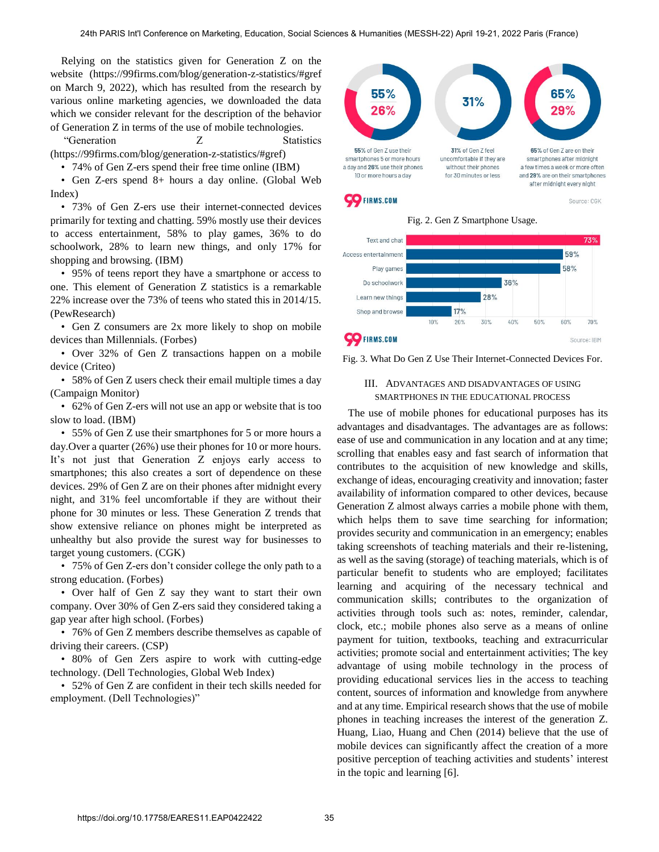Relying on the statistics given for Generation Z on the website (https://99firms.com/blog/generation-z-statistics/#gref on March 9, 2022), which has resulted from the research by various online marketing agencies, we downloaded the data which we consider relevant for the description of the behavior of Generation Z in terms of the use of mobile technologies.

"Generation Z Statistics (https://99firms.com/blog/generation-z-statistics/#gref)

• 74% of Gen Z-ers spend their free time online (IBM)

• Gen Z-ers spend 8+ hours a day online. (Global Web Index)

• 73% of Gen Z-ers use their internet-connected devices primarily for texting and chatting. 59% mostly use their devices to access entertainment, 58% to play games, 36% to do schoolwork, 28% to learn new things, and only 17% for shopping and browsing. (IBM)

• 95% of teens report they have a smartphone or access to one. This element of Generation Z statistics is a remarkable 22% increase over the 73% of teens who stated this in 2014/15. (PewResearch)

• Gen Z consumers are 2x more likely to shop on mobile devices than Millennials. (Forbes)

• Over 32% of Gen Z transactions happen on a mobile device (Criteo)

• 58% of Gen Z users check their email multiple times a day (Campaign Monitor)

• 62% of Gen Z-ers will not use an app or website that is too slow to load. (IBM)

• 55% of Gen Z use their smartphones for 5 or more hours a day.Over a quarter (26%) use their phones for 10 or more hours. It's not just that Generation Z enjoys early access to smartphones; this also creates a sort of dependence on these devices. 29% of Gen Z are on their phones after midnight every night, and 31% feel uncomfortable if they are without their phone for 30 minutes or less. These Generation Z trends that show extensive reliance on phones might be interpreted as unhealthy but also provide the surest way for businesses to target young customers. (CGK)

• 75% of Gen Z-ers don't consider college the only path to a strong education. (Forbes)

• Over half of Gen Z say they want to start their own company. Over 30% of Gen Z-ers said they considered taking a gap year after high school. (Forbes)

• 76% of Gen Z members describe themselves as capable of driving their careers. (CSP)

• 80% of Gen Zers aspire to work with cutting-edge technology. (Dell Technologies, Global Web Index)

• 52% of Gen Z are confident in their tech skills needed for employment. (Dell Technologies)"





Fig. 2. Gen Z Smartphone Usage.

Source: CGK



Fig. 3. What Do Gen Z Use Their Internet-Connected Devices For.

# III. ADVANTAGES AND DISADVANTAGES OF USING SMARTPHONES IN THE EDUCATIONAL PROCESS

The use of mobile phones for educational purposes has its advantages and disadvantages. The advantages are as follows: ease of use and communication in any location and at any time; scrolling that enables easy and fast search of information that contributes to the acquisition of new knowledge and skills, exchange of ideas, encouraging creativity and innovation; faster availability of information compared to other devices, because Generation Z almost always carries a mobile phone with them, which helps them to save time searching for information; provides security and communication in an emergency; enables taking screenshots of teaching materials and their re-listening, as well as the saving (storage) of teaching materials, which is of particular benefit to students who are employed; facilitates learning and acquiring of the necessary technical and communication skills; contributes to the organization of activities through tools such as: notes, reminder, calendar, clock, etc.; mobile phones also serve as a means of online payment for tuition, textbooks, teaching and extracurricular activities; promote social and entertainment activities; The key advantage of using mobile technology in the process of providing educational services lies in the access to teaching content, sources of information and knowledge from anywhere and at any time. Empirical research shows that the use of mobile phones in teaching increases the interest of the generation Z. Huang, Liao, Huang and Chen (2014) believe that the use of mobile devices can significantly affect the creation of a more positive perception of teaching activities and students' interest in the topic and learning [6].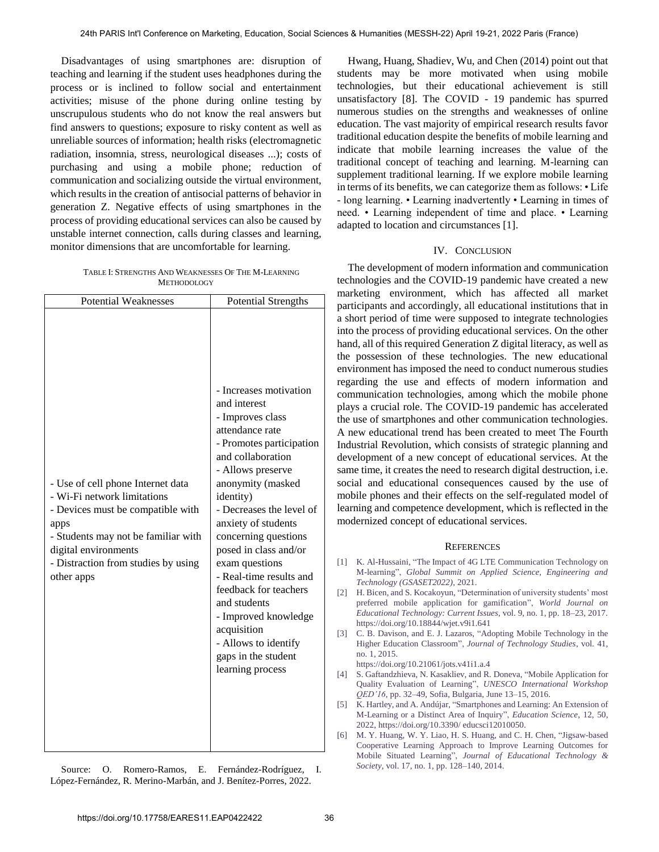Disadvantages of using smartphones are: disruption of teaching and learning if the student uses headphones during the process or is inclined to follow social and entertainment activities; misuse of the phone during online testing by unscrupulous students who do not know the real answers but find answers to questions; exposure to risky content as well as unreliable sources of information; health risks (electromagnetic radiation, insomnia, stress, neurological diseases ...); costs of purchasing and using a mobile phone; reduction of communication and socializing outside the virtual environment, which results in the creation of antisocial patterns of behavior in generation Z. Negative effects of using smartphones in the process of providing educational services can also be caused by unstable internet connection, calls during classes and learning, monitor dimensions that are uncomfortable for learning.

TABLE I: STRENGTHS AND WEAKNESSES OF THE M-LEARNING METHODOLOGY

| <b>Potential Weaknesses</b>                                                                                                                                                                                                       | <b>Potential Strengths</b>                                                                                                                                                                                                                                                                                                                                                                                                                                                                |
|-----------------------------------------------------------------------------------------------------------------------------------------------------------------------------------------------------------------------------------|-------------------------------------------------------------------------------------------------------------------------------------------------------------------------------------------------------------------------------------------------------------------------------------------------------------------------------------------------------------------------------------------------------------------------------------------------------------------------------------------|
| - Use of cell phone Internet data<br>- Wi-Fi network limitations<br>- Devices must be compatible with<br>apps<br>- Students may not be familiar with<br>digital environments<br>- Distraction from studies by using<br>other apps | - Increases motivation<br>and interest<br>- Improves class<br>attendance rate<br>- Promotes participation<br>and collaboration<br>- Allows preserve<br>anonymity (masked<br>identity)<br>- Decreases the level of<br>anxiety of students<br>concerning questions<br>posed in class and/or<br>exam questions<br>- Real-time results and<br>feedback for teachers<br>and students<br>- Improved knowledge<br>acquisition<br>- Allows to identify<br>gaps in the student<br>learning process |

Source: O. Romero-Ramos, E. Fernández-Rodríguez, I. López-Fernández, R. Merino-Marbán, and J. Benítez-Porres, 2022.

Hwang, Huang, Shadiev, Wu, and Chen (2014) point out that students may be more motivated when using mobile technologies, but their educational achievement is still unsatisfactory [8]. The COVID - 19 pandemic has spurred numerous studies on the strengths and weaknesses of online education. The vast majority of empirical research results favor traditional education despite the benefits of mobile learning and indicate that mobile learning increases the value of the traditional concept of teaching and learning. M-learning can supplement traditional learning. If we explore mobile learning in terms of its benefits, we can categorize them as follows: • Life - long learning. • Learning inadvertently • Learning in times of need. • Learning independent of time and place. • Learning adapted to location and circumstances [1].

## IV. CONCLUSION

The development of modern information and communication technologies and the COVID-19 pandemic have created a new marketing environment, which has affected all market participants and accordingly, all educational institutions that in a short period of time were supposed to integrate technologies into the process of providing educational services. On the other hand, all of this required Generation Z digital literacy, as well as the possession of these technologies. The new educational environment has imposed the need to conduct numerous studies regarding the use and effects of modern information and communication technologies, among which the mobile phone plays a crucial role. The COVID-19 pandemic has accelerated the use of smartphones and other communication technologies. A new educational trend has been created to meet The Fourth Industrial Revolution, which consists of strategic planning and development of a new concept of educational services. At the same time, it creates the need to research digital destruction, i.e. social and educational consequences caused by the use of mobile phones and their effects on the self-regulated model of learning and competence development, which is reflected in the modernized concept of educational services.

#### **REFERENCES**

- [1] K. Al-Hussaini, "The Impact of 4G LTE Communication Technology on M-learning", *Global Summit on Applied Science, Engineering and Technology (GSASET2022)*, 2021.
- [2] [H. Bicen, and S. Kocakoyun, "Determination of university students' most](https://doi.org/10.18844/wjet.v9i1.641)  [preferred mobile application for gamification",](https://doi.org/10.18844/wjet.v9i1.641) *World Journal on [Educational Technology: Current Issues](https://doi.org/10.18844/wjet.v9i1.641)*, vol. 9, no. 1, pp. 18–23, 2017. https://doi.org/10.18844/wjet.v9i1.641
- [3] [C. B. Davison, and E. J. Lazaros, "Adopting Mobile Technology in the](https://doi.org/10.21061/jots.v41i1.a.4)  Higher Education Classroom", *[Journal of Technology Studies](https://doi.org/10.21061/jots.v41i1.a.4)*, vol. 41, [no. 1, 2015.](https://doi.org/10.21061/jots.v41i1.a.4)  https://doi.org/10.21061/jots.v41i1.a.4
- [4] S. Gaftandzhieva, N. Kasakliev, and R. Doneva, "Mobile Application for Quality Evaluation of Learning", *UNESCO International Workshop QED'16*, pp. 32–49, Sofia, Bulgaria, June 13–15, 2016.
- [5] [K. Hartley, and A. Andújar, "Smartphones and Learning: An Extension of](https://doi.org/10.3390/educsci12010050)  [M-Learning or a Distinct Area of Inquiry",](https://doi.org/10.3390/educsci12010050) *Education Science*, 12, 50, [2022,](https://doi.org/10.3390/educsci12010050) https://doi.org/10.3390/ educsci12010050.
- [6] M. Y. Huang, W. Y. Liao, H. S. Huang, and C. H. Chen, "Jigsaw-based Cooperative Learning Approach to Improve Learning Outcomes for Mobile Situated Learning", *Journal of Educational Technology & Society*, vol. 17, no. 1, pp. 128–140, 2014.